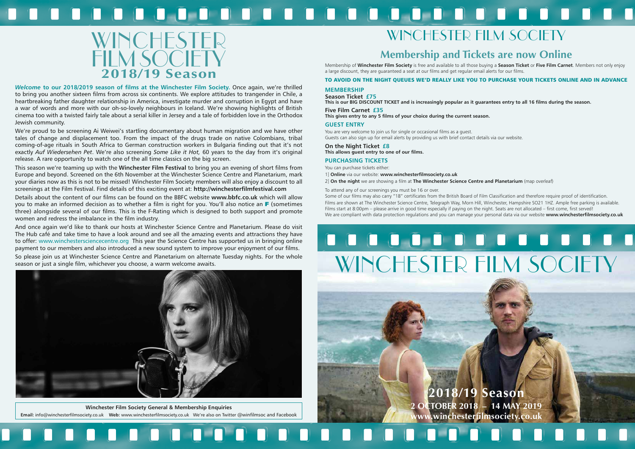



*Welcome* **to our 2018/2019 season of films at the Winchester Film Society.** Once again, we're thrilled to bring you another sixteen films from across six continents. We explore attitudes to trangender in Chile, a heartbreaking father daughter relationship in America, investigate murder and corruption in Egypt and have a war of words and more with our oh-so-lovely neighbours in Iceland. We're showing highlights of British cinema too with a twisted fairly tale about a serial killer in Jersey and a tale of forbidden love in the Orthodox Jewish community.

We're proud to be screening Ai Weiwei's startling documentary about human migration and we have other tales of change and displacement too. From the impact of the drugs trade on native Colombians, tribal coming-of-age rituals in South Africa to German construction workers in Bulgaria finding out that it's not exactly *Auf Wiedersehen Pet*. We're also screening *Some Like it Hot,* 60 years to the day from it's original release. A rare opportunity to watch one of the all time classics on the big screen.

This season we're teaming up with the **Winchester Film Festival** to bring you an evening of short films from Europe and beyond. Screened on the 6th November at the Winchester Science Centre and Planetarium, mark your diaries now as this is not to be missed! Winchester Film Society members will also enjoy a discount to all screenings at the Film Festival. Find details of this exciting event at: **http://winchesterfilmfestival.com**

Details about the content of our films can be found on the BBFC website **www.bbfc.co.uk** which will allow you to make an informed decision as to whether a film is right for you. You'll also notice an F (sometimes three) alongside several of our films. This is the F-Rating which is designed to both support and promote women and redress the imbalance in the film industry.

And once again we'd like to thank our hosts at Winchester Science Centre and Planetarium. Please do visit The Hub café and take time to have a look around and see all the amazing events and attractions they have to offer: www.winchestersciencecentre.org This year the Science Centre has supported us in bringing online payment to our members and also introduced a new sound system to improve your enjoyment of our films.

So please join us at Winchester Science Centre and Planetarium on alternate Tuesday nights. For the whole season or just a single film, whichever you choose, a warm welcome awaits.

#### <u>and decompted and a compted to the set of the set of the set of the set of the set of the set of the set of the </u>  $\sqrt{2}$





**Winchester Film Society General & Membership Enquiries Email:** info@winchesterfilmsociety.co.uk **Web:** www.winchesterfilmsociety.co.uk We're also on Twitter @winfilmsoc and Facebook

## WINCHESTER FILM SOCIETY

## **Membership and Tickets are now Online**

Membership of **Winchester Film Society** is free and available to all those buying a **Season Ticket** or **Five Film Carnet**. Members not only enjoy a large discount, they are guaranteed a seat at our films and get regular email alerts for our films.

TO AVOID ON THE NIGHT QUEUES WE'D REALLY LIKE YOU TO PURCHASE YOUR TICKETS ONLINE AND IN ADVANCE

#### **MEMBERSHIP**

**Season Ticket £75 This is our BIG DISCOUNT TICKET and is increasingly popular as it guarantees entry to all 16 films during the season.**

**Five Film Carnet £35 This gives entry to any 5 films of your choice during the current season.**

#### **GUEST ENTRY**

You are very welcome to join us for single or occasional films as a guest. Guests can also sign up for email alerts by providing us with brief contact details via our website.

#### **On the Night Ticket £8**

**This allows guest entry to one of our films.**

#### **PURCHASING TICKETS**

You can purchase tickets either:

- 1] **Online** via our website: **www.winchesterfilmsociety.co.uk**
- 2] **On the night** we are showing a film at **The Winchester Science Centre and Planetarium** (map overleaf)

To attend any of our screenings you must be 16 or over.

Some of our films may also carry "18" certificates from the British Board of Film Classification and therefore require proof of identification. Films are shown at The Winchester Science Centre, Telegraph Way, Morn Hill, Winchester, Hampshire SO21 1HZ. Ample free parking is available. Films start at 8:00pm – please arrive in good time especially if paying on the night. Seats are not allocated – first come, first served! We are compliant with data protection regulations and you can manage your personal data via our website **www.winchesterfilmsociety.co.uk**